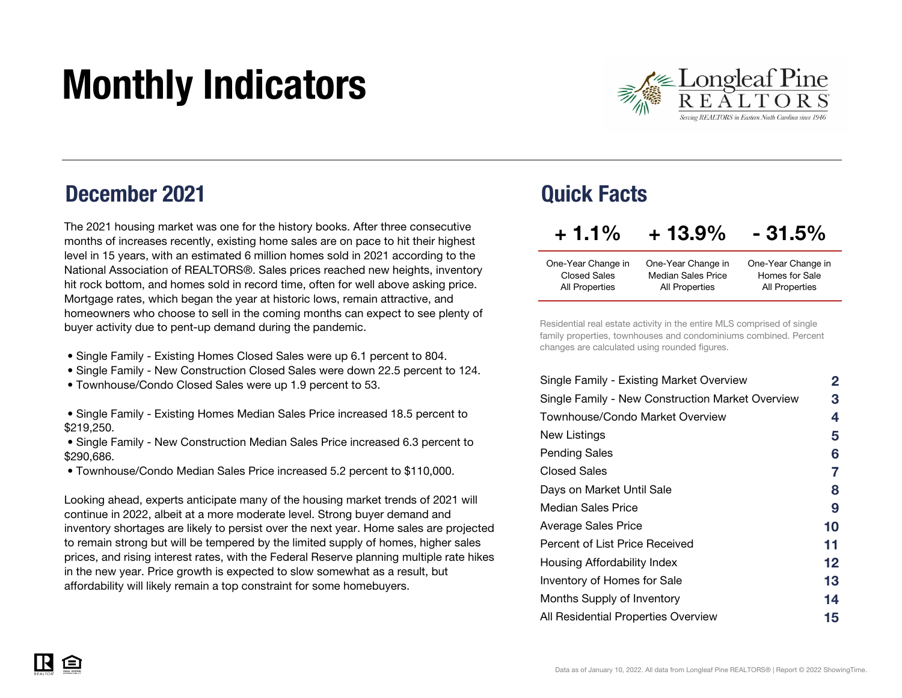# Monthly Indicators



### December 2021

The 2021 housing market was one for the history books. After three consecutive months of increases recently, existing home sales are on pace to hit their highest level in 15 years, with an estimated 6 million homes sold in 2021 according to the National Association of REALTORS®. Sales prices reached new heights, inventory hit rock bottom, and homes sold in record time, often for well above asking price. Mortgage rates, which began the year at historic lows, remain attractive, and homeowners who choose to sell in the coming months can expect to see plenty of buyer activity due to pent-up demand during the pandemic.

- Single Family Existing Homes Closed Sales were up 6.1 percent to 804.
- Single Family New Construction Closed Sales were down 22.5 percent to 124.
- Townhouse/Condo Closed Sales were up 1.9 percent to 53.
- Single Family Existing Homes Median Sales Price increased 18.5 percent to \$219,250.
- Single Family New Construction Median Sales Price increased 6.3 percent to \$290,686.
- Townhouse/Condo Median Sales Price increased 5.2 percent to \$110,000.

Looking ahead, experts anticipate many of the housing market trends of 2021 will continue in 2022, albeit at a more moderate level. Strong buyer demand and inventory shortages are likely to persist over the next year. Home sales are projected to remain strong but will be tempered by the limited supply of homes, higher sales prices, and rising interest rates, with the Federal Reserve planning multiple rate hikes in the new year. Price growth is expected to slow somewhat as a result, but affordability will likely remain a top constraint for some homebuyers.

### Quick Facts

| $+1.1\%$            | $+13.9\%$                 | $-31.5%$           |
|---------------------|---------------------------|--------------------|
| One-Year Change in  | One-Year Change in        | One-Year Change in |
| <b>Closed Sales</b> | <b>Median Sales Price</b> | Homes for Sale     |
| All Properties      | All Properties            | All Properties     |

Residential real estate activity in the entire MLS comprised of single family properties, townhouses and condominiums combined. Percent changes are calculated using rounded figures.

| Single Family - Existing Market Overview         | $\mathbf{2}$ |
|--------------------------------------------------|--------------|
| Single Family - New Construction Market Overview | 3            |
| Townhouse/Condo Market Overview                  | 4            |
| New Listings                                     | 5            |
| <b>Pending Sales</b>                             | 6            |
| Closed Sales                                     | 7            |
| Days on Market Until Sale                        | 8            |
| Median Sales Price                               | 9            |
| Average Sales Price                              | 10           |
| Percent of List Price Received                   | 11           |
| Housing Affordability Index                      | 12           |
| Inventory of Homes for Sale                      | 13           |
| Months Supply of Inventory                       | 14           |
| All Residential Properties Overview              | 15           |

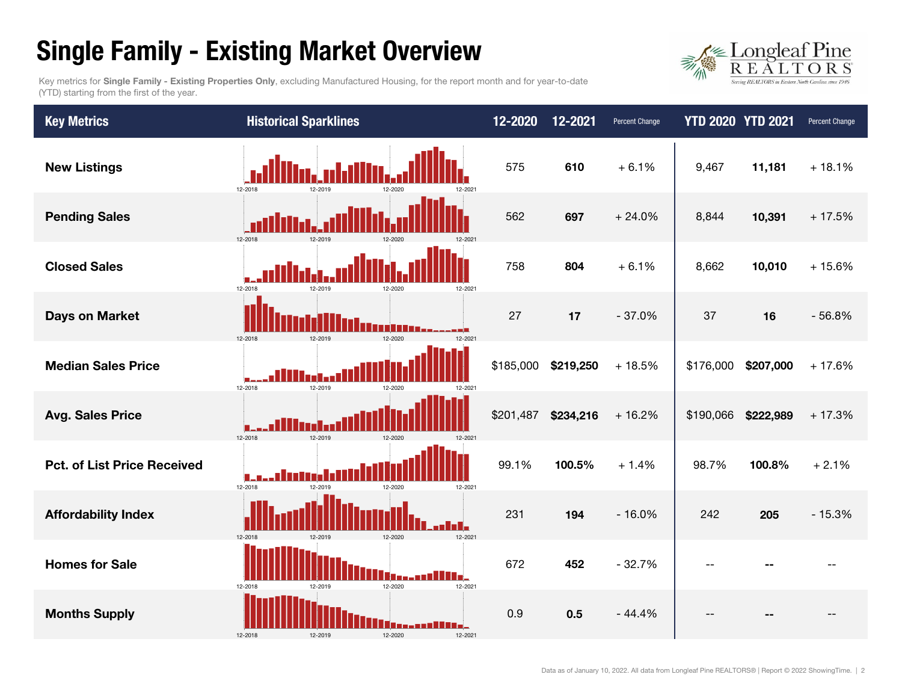### Single Family - Existing Market Overview



Key metrics for Single Family - Existing Properties Only, excluding Manufactured Housing, for the report month and for year-to-date (YTD) starting from the first of the year.

| <b>Key Metrics</b>                 | <b>Historical Sparklines</b>             | 12-2020   | 12-2021   | Percent Change | <b>YTD 2020 YTD 2021</b> |           | Percent Change |
|------------------------------------|------------------------------------------|-----------|-----------|----------------|--------------------------|-----------|----------------|
| <b>New Listings</b>                | 12-2018<br>12-2021                       | 575       | 610       | $+6.1%$        | 9,467                    | 11,181    | $+18.1%$       |
| <b>Pending Sales</b>               | 12-2018                                  | 562       | 697       | $+24.0%$       | 8,844                    | 10,391    | $+17.5%$       |
| <b>Closed Sales</b>                | 12-2018<br>12-2019<br>12-2021            | 758       | 804       | $+6.1%$        | 8,662                    | 10,010    | $+15.6%$       |
| Days on Market                     | 12-2018<br>12-2019<br>12-2020<br>12-2021 | 27        | 17        | $-37.0%$       | 37                       | 16        | $-56.8%$       |
| <b>Median Sales Price</b>          | 12-2018<br>12-2019<br>12-2020<br>12-2021 | \$185,000 | \$219,250 | $+18.5%$       | \$176,000                | \$207,000 | $+17.6%$       |
| <b>Avg. Sales Price</b>            | 12-2018<br>12-2019<br>12-2020            | \$201,487 | \$234,216 | $+16.2%$       | \$190,066                | \$222,989 | $+17.3%$       |
| <b>Pct. of List Price Received</b> | 12-2018<br>12-2019<br>12-2020<br>12-2021 | 99.1%     | 100.5%    | $+1.4%$        | 98.7%                    | 100.8%    | $+2.1%$        |
| <b>Affordability Index</b>         | 12-2018<br>12-2020<br>12-2021            | 231       | 194       | $-16.0%$       | 242                      | 205       | $-15.3%$       |
| <b>Homes for Sale</b>              | 12-2020<br>12-2018<br>12-2021<br>12-2019 | 672       | 452       | $-32.7%$       |                          |           |                |
| <b>Months Supply</b>               | 12-2018<br>12-2020<br>12-2019<br>12-2021 | 0.9       | 0.5       | $-44.4%$       |                          |           |                |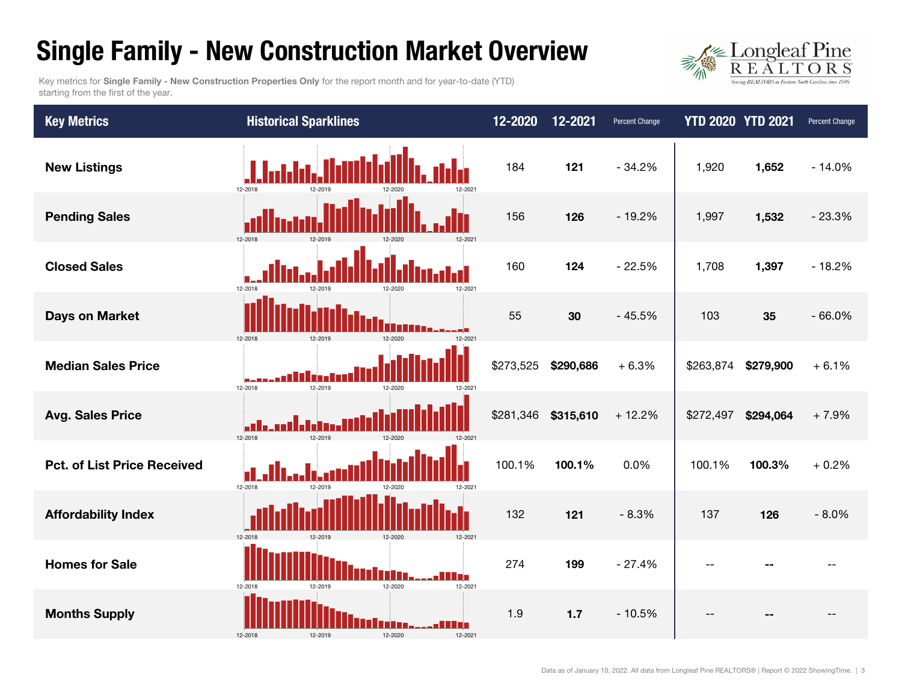### Single Family - New Construction Market Overview

 $\frac{\text{Longleaf}\,\text{Pine}}{\text{R}\,\text{E}\,\text{A}\,\text{L}\,\text{T}\,\text{O}\,\text{R}\,\text{S}}$ Serving REALTORS in Eastern North

Key metrics for Single Family - New Construction Properties Only for the report month and for year-to-date (YTD) starting from the first of the year.

| <b>Key Metrics</b>                 | <b>Historical Sparklines</b>                     | 12-2020   | 12-2021   | Percent Change | <b>YTD 2020 YTD 2021</b> |           | Percent Change |
|------------------------------------|--------------------------------------------------|-----------|-----------|----------------|--------------------------|-----------|----------------|
| <b>New Listings</b>                | 12-2018<br>12-2021                               | 184       | 121       | $-34.2%$       | 1,920                    | 1,652     | $-14.0%$       |
| <b>Pending Sales</b>               | 12-2018                                          | 156       | 126       | $-19.2%$       | 1,997                    | 1,532     | $-23.3%$       |
| <b>Closed Sales</b>                | 12-2021<br>12-2018<br>12-2020                    | 160       | 124       | $-22.5%$       | 1,708                    | 1,397     | $-18.2%$       |
| <b>Days on Market</b>              | 12-2020<br>12-2018<br>12-2019<br>12-2021         | 55        | 30        | $-45.5%$       | 103                      | 35        | $-66.0%$       |
| <b>Median Sales Price</b>          | 12-2019<br>12-2018<br>12-2020<br>12-2021         | \$273,525 | \$290,686 | $+6.3%$        | \$263,874                | \$279,900 | $+6.1%$        |
| <b>Avg. Sales Price</b>            | alla. 1<br>12-2018<br>12-2019                    | \$281,346 | \$315,610 | $+12.2%$       | \$272,497                | \$294,064 | $+7.9%$        |
| <b>Pct. of List Price Received</b> | 12-2018<br>12-2019<br>12-2021                    | 100.1%    | 100.1%    | 0.0%           | 100.1%                   | 100.3%    | $+0.2%$        |
| <b>Affordability Index</b>         | 12-2018<br>12-2020<br>$12-202$                   | 132       | 121       | $-8.3%$        | 137                      | 126       | $-8.0%$        |
| <b>Homes for Sale</b>              | 12-2020<br>12-2018<br>12-2021<br>12-2019         | 274       | 199       | $-27.4%$       |                          |           |                |
| <b>Months Supply</b>               | - 10<br>12-2018<br>12-2020<br>12-2019<br>12-2021 | 1.9       | 1.7       | $-10.5%$       |                          |           |                |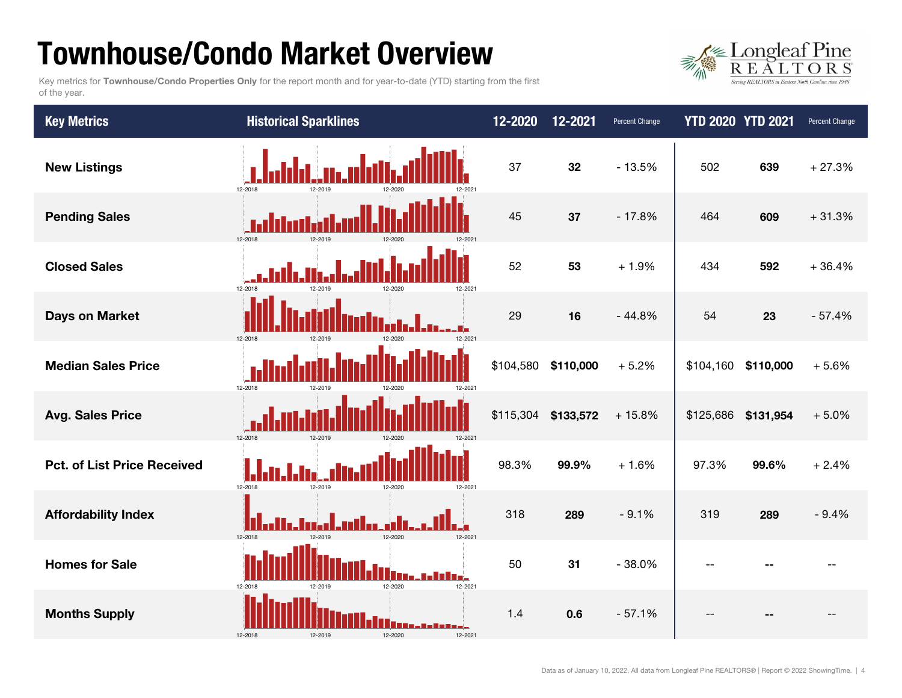## Townhouse/Condo Market Overview

Key metrics for Townhouse/Condo Properties Only for the report month and for year-to-date (YTD) starting from the first of the year.



| <b>Key Metrics</b>                 | <b>Historical Sparklines</b>                      | 12-2020   | 12-2021             | Percent Change | <b>YTD 2020 YTD 2021</b> |           | Percent Change |
|------------------------------------|---------------------------------------------------|-----------|---------------------|----------------|--------------------------|-----------|----------------|
| <b>New Listings</b>                | 12-2018<br>12-2019<br>12-2021<br>12-2020          | 37        | 32                  | $-13.5%$       | 502                      | 639       | $+27.3%$       |
| <b>Pending Sales</b>               | .<br>Historia<br>12-2018                          | 45        | 37                  | $-17.8%$       | 464                      | 609       | $+31.3%$       |
| <b>Closed Sales</b>                | 12-2018<br>12-2019<br>12-2021<br>12-2020          | 52        | 53                  | $+1.9%$        | 434                      | 592       | $+36.4%$       |
| <b>Days on Market</b>              | 12-2018<br>12-2019<br>12-2020                     | 29        | 16                  | $-44.8%$       | 54                       | 23        | $-57.4%$       |
| <b>Median Sales Price</b>          | 12-2018<br>12-2021<br>12-2019<br>12-2020          | \$104,580 | \$110,000           | $+5.2%$        | \$104,160                | \$110,000 | $+5.6%$        |
| <b>Avg. Sales Price</b>            | 12-2018<br>12-2019<br>12-2021                     |           | \$115,304 \$133,572 | $+15.8%$       | \$125,686 \$131,954      |           | $+5.0%$        |
| <b>Pct. of List Price Received</b> | 12-2018<br>12-2019<br>12-2020<br>12-2021          | 98.3%     | 99.9%               | $+1.6%$        | 97.3%                    | 99.6%     | $+2.4%$        |
| <b>Affordability Index</b>         | <u> Hr. Indal, milar al</u><br>12-2020<br>12-2021 | 318       | 289                 | $-9.1%$        | 319                      | 289       | $-9.4%$        |
| <b>Homes for Sale</b>              | 12-2020<br>12-2021<br>12-2018<br>12-2019          | 50        | 31                  | $-38.0%$       | $-1$                     |           |                |
| <b>Months Supply</b>               | 12-2020<br>12-2018<br>12-2021                     | 1.4       | 0.6                 | $-57.1%$       |                          |           |                |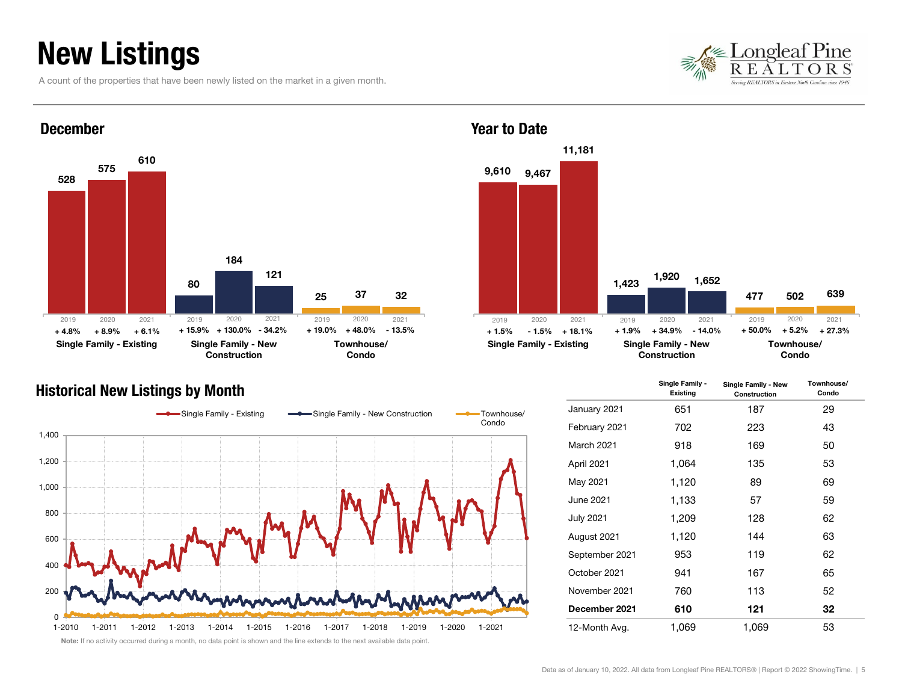## New Listings

A count of the properties that have been newly listed on the market in a given month.





### Historical New Listings by Month Single Family - Single Family - Single Family - Single Family - Existing Town



1,423 477 1,920 502 1,652 639Single Family - Existing Single Family - New Townhouse/ 2020 2021 2019 2020 2021 2019 2020 2021+ 50.0%

11,181

Construction

Condo

|                | Single Family -<br><b>Existing</b> | Single Family - New<br>Construction | Townhouse/<br>Condo |
|----------------|------------------------------------|-------------------------------------|---------------------|
| January 2021   | 651                                | 187                                 | 29                  |
| February 2021  | 702                                | 223                                 | 43                  |
| March 2021     | 918                                | 169                                 | 50                  |
| April 2021     | 1,064                              | 135                                 | 53                  |
| May 2021       | 1,120                              | 89                                  | 69                  |
| June 2021      | 1,133                              | 57                                  | 59                  |
| July 2021      | 1,209                              | 128                                 | 62                  |
| August 2021    | 1,120                              | 144                                 | 63                  |
| September 2021 | 953                                | 119                                 | 62                  |
| October 2021   | 941                                | 167                                 | 65                  |
| November 2021  | 760                                | 113                                 | 52                  |
| December 2021  | 610                                | 121                                 | 32                  |
| 12-Month Avg.  | 1,069                              | 1,069                               | 53                  |

Year to Date

9,610 9,467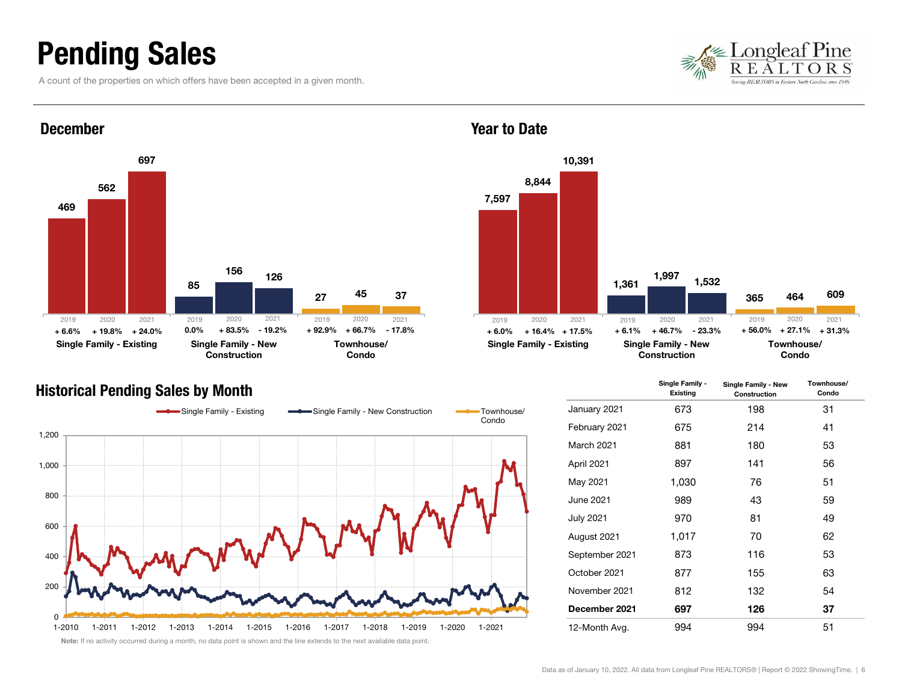### Pending Sales

A count of the properties on which offers have been accepted in a given month.





#### Historical Pending Sales by Month





|                  | Single Family -<br>Existing | Single Family - New<br>Construction | Townhouse/<br>Condo |
|------------------|-----------------------------|-------------------------------------|---------------------|
| January 2021     | 673                         | 198                                 | 31                  |
| February 2021    | 675                         | 214                                 | 41                  |
| March 2021       | 881                         | 180                                 | 53                  |
| April 2021       | 897                         | 141                                 | 56                  |
| May 2021         | 1,030                       | 76                                  | 51                  |
| June 2021        | 989                         | 43                                  | 59                  |
| <b>July 2021</b> | 970                         | 81                                  | 49                  |
| August 2021      | 1,017                       | 70                                  | 62                  |
| September 2021   | 873                         | 116                                 | 53                  |
| October 2021     | 877                         | 155                                 | 63                  |
| November 2021    | 812                         | 132                                 | 54                  |
| December 2021    | 697                         | 126                                 | 37                  |
| 12-Month Avg.    | 994                         | 994                                 | 51                  |

#### Year to Date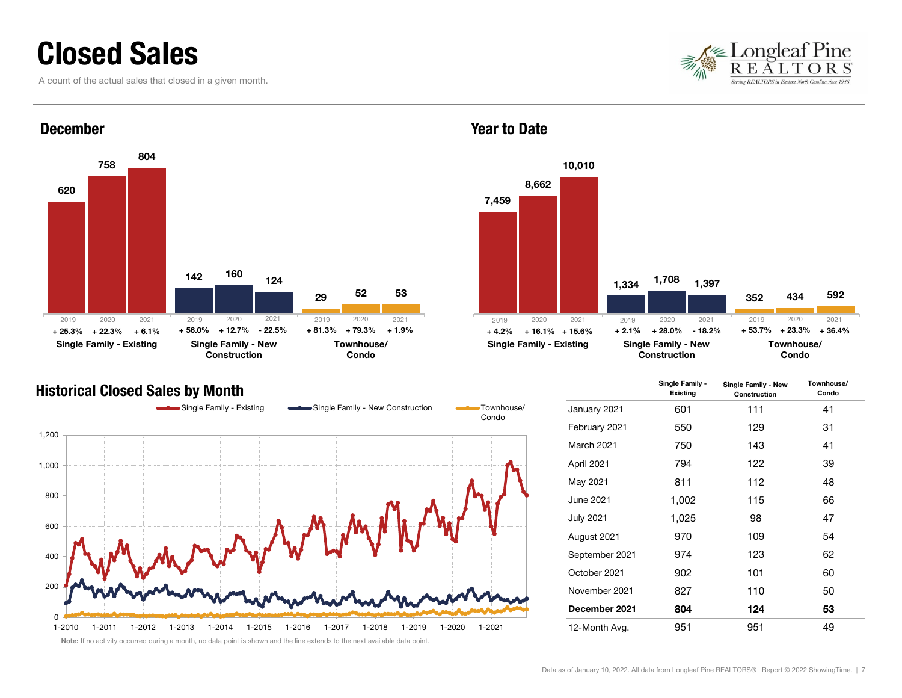### Closed Sales

A count of the actual sales that closed in a given month.





### Historical Closed Sales by Month



Year to Date



|                  | Single Family -<br><b>Existing</b> | Single Family - New<br>Construction | Townhouse/<br>Condo |
|------------------|------------------------------------|-------------------------------------|---------------------|
| January 2021     | 601                                | 111                                 | 41                  |
| February 2021    | 550                                | 129                                 | 31                  |
| March 2021       | 750                                | 143                                 | 41                  |
| April 2021       | 794                                | 122                                 | 39                  |
| May 2021         | 811                                | 112                                 | 48                  |
| June 2021        | 1,002                              | 115                                 | 66                  |
| <b>July 2021</b> | 1,025                              | 98                                  | 47                  |
| August 2021      | 970                                | 109                                 | 54                  |
| September 2021   | 974                                | 123                                 | 62                  |
| October 2021     | 902                                | 101                                 | 60                  |
| November 2021    | 827                                | 110                                 | 50                  |
| December 2021    | 804                                | 124                                 | 53                  |
| 12-Month Avg.    | 951                                | 951                                 | 49                  |

Data as of January 10, 2022. All data from Longleaf Pine REALTORS® | Report © 2022 ShowingTime. | 7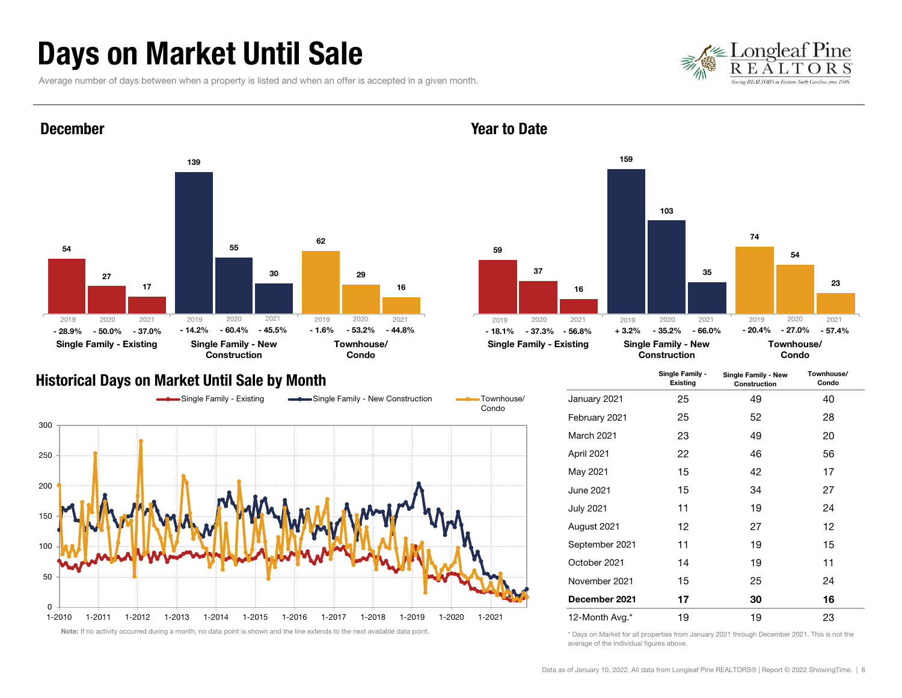### Days on Market Until Sale

Average number of days between when a property is listed and when an offer is accepted in a given month.





#### Historical Days on Market Until Sale by Month



#### Year to Date



|                  | Single Family -<br>Existing | Single Family - New<br>Construction | Townhouse/<br>Condo |
|------------------|-----------------------------|-------------------------------------|---------------------|
| January 2021     | 25                          | 49                                  | 40                  |
| February 2021    | 25                          | 52                                  | 28                  |
| March 2021       | 23                          | 49                                  | 20                  |
| April 2021       | 22                          | 46                                  | 56                  |
| May 2021         | 15                          | 42                                  | 17                  |
| June 2021        | 15                          | 34                                  | 27                  |
| <b>July 2021</b> | 11                          | 19                                  | 24                  |
| August 2021      | 12                          | 27                                  | 12                  |
| September 2021   | 11                          | 19                                  | 15                  |
| October 2021     | 14                          | 19                                  | 11                  |
| November 2021    | 15                          | 25                                  | 24                  |
| December 2021    | 17                          | 30                                  | 16                  |
| 12-Month Avg.*   | 19                          | 19                                  | 23                  |

\* Days on Market for all properties from January 2021 through December 2021. This is not the average of the individual figures above.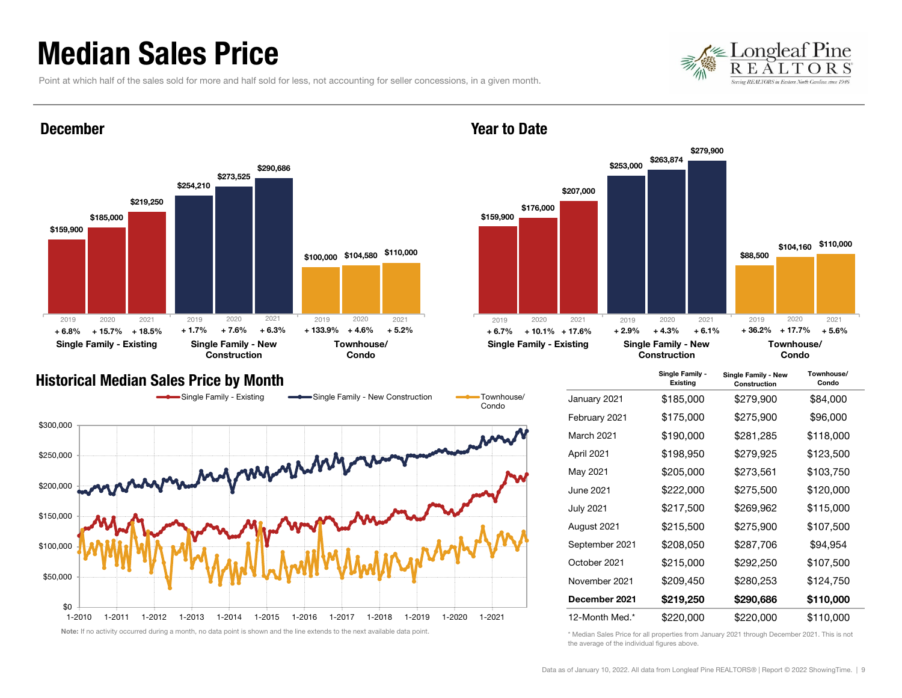### Median Sales Price

December

Point at which half of the sales sold for more and half sold for less, not accounting for seller concessions, in a given month.





#### Year to Date



#### Historical Median Sales Price by Month



|                  | Single Family -<br>Existing | Single Family - New<br>Construction | Townhouse/<br>Condo |
|------------------|-----------------------------|-------------------------------------|---------------------|
| January 2021     | \$185,000                   | \$279,900                           | \$84,000            |
| February 2021    | \$175,000                   | \$275,900                           | \$96,000            |
| March 2021       | \$190,000                   | \$281,285                           | \$118,000           |
| April 2021       | \$198,950                   | \$279,925                           | \$123,500           |
| May 2021         | \$205,000                   | \$273,561                           | \$103,750           |
| June 2021        | \$222,000                   | \$275,500                           | \$120,000           |
| <b>July 2021</b> | \$217,500                   | \$269,962                           | \$115,000           |
| August 2021      | \$215,500                   | \$275,900                           | \$107,500           |
| September 2021   | \$208,050                   | \$287,706                           | \$94,954            |
| October 2021     | \$215,000                   | \$292,250                           | \$107,500           |
| November 2021    | \$209,450                   | \$280,253                           | \$124,750           |
| December 2021    | \$219,250                   | \$290,686                           | \$110,000           |
| 12-Month Med.*   | \$220,000                   | \$220,000                           | \$110,000           |

\* Median Sales Price for all properties from January 2021 through December 2021. This is not the average of the individual figures above.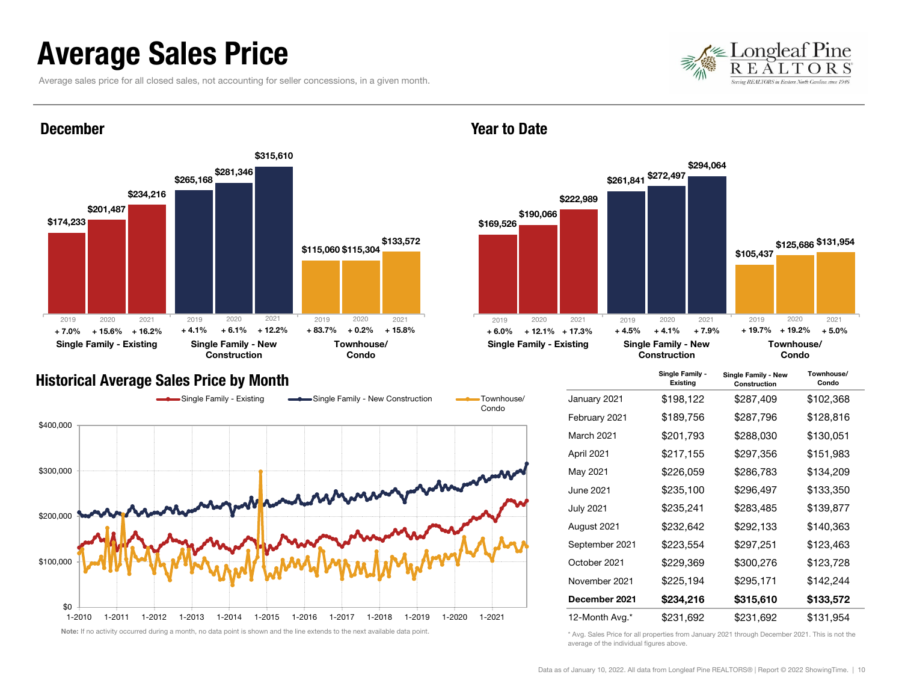### Average Sales Price

December

Average sales price for all closed sales, not accounting for seller concessions, in a given month.





#### Year to Date



#### Historical Average Sales Price by Month



|                  | Single Family -<br>Existing | Single Family - New<br>Construction | Townhouse/<br>Condo |
|------------------|-----------------------------|-------------------------------------|---------------------|
| January 2021     | \$198,122                   | \$287,409                           | \$102,368           |
| February 2021    | \$189,756                   | \$287,796                           | \$128,816           |
| March 2021       | \$201,793                   | \$288,030                           | \$130,051           |
| April 2021       | \$217,155                   | \$297,356                           | \$151,983           |
| May 2021         | \$226,059                   | \$286,783                           | \$134,209           |
| June 2021        | \$235,100                   | \$296,497                           | \$133,350           |
| <b>July 2021</b> | \$235,241                   | \$283,485                           | \$139,877           |
| August 2021      | \$232,642                   | \$292,133                           | \$140,363           |
| September 2021   | \$223,554                   | \$297,251                           | \$123,463           |
| October 2021     | \$229,369                   | \$300,276                           | \$123,728           |
| November 2021    | \$225,194                   | \$295,171                           | \$142,244           |
| December 2021    | \$234,216                   | \$315,610                           | \$133,572           |
| 12-Month Avg.*   | \$231,692                   | \$231,692                           | \$131,954           |

\* Avg. Sales Price for all properties from January 2021 through December 2021. This is not the average of the individual figures above.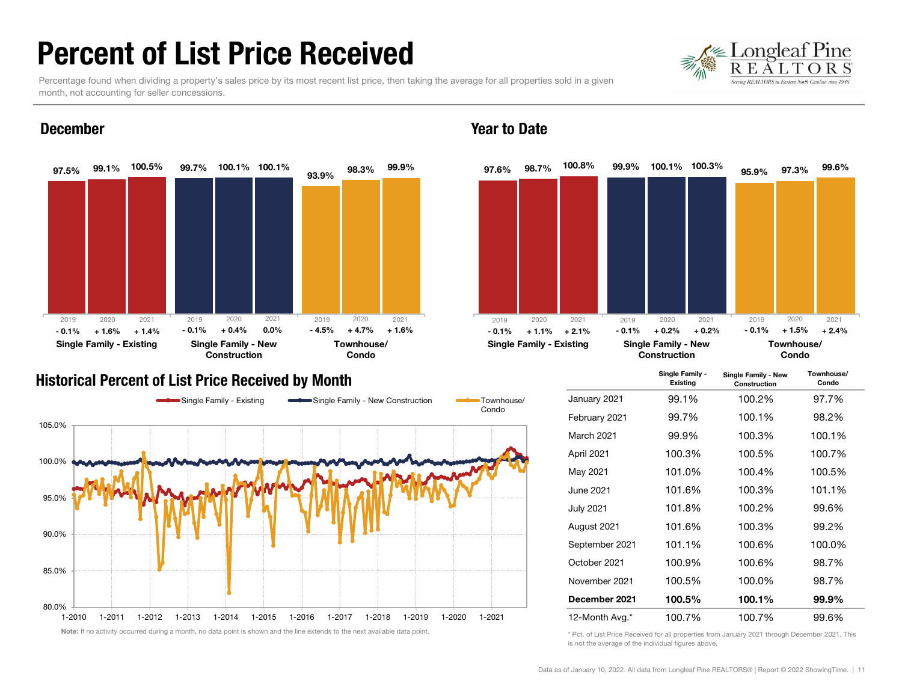### Percent of List Price Received

ongleaf Pine

Percentage found when dividing a property's sales price by its most recent list price, then taking the average for all properties sold in a given month, not accounting for seller concessions.



#### December

#### Historical Percent of List Price Received by Month



#### Year to Date



|                  | Single Family -<br>Existing | Single Family - New<br>Construction | Townhouse/<br>Condo |
|------------------|-----------------------------|-------------------------------------|---------------------|
| January 2021     | 99.1%                       | 100.2%                              | 97.7%               |
| February 2021    | 99.7%                       | 100.1%                              | 98.2%               |
| March 2021       | 99.9%                       | 100.3%                              | 100.1%              |
| April 2021       | 100.3%                      | 100.5%                              | 100.7%              |
| May 2021         | 101.0%                      | 100.4%                              | 100.5%              |
| June 2021        | 101.6%                      | 100.3%                              | 101.1%              |
| <b>July 2021</b> | 101.8%                      | 100.2%                              | 99.6%               |
| August 2021      | 101.6%                      | 100.3%                              | 99.2%               |
| September 2021   | 101.1%                      | 100.6%                              | 100.0%              |
| October 2021     | 100.9%                      | 100.6%                              | 98.7%               |
| November 2021    | 100.5%                      | 100.0%                              | 98.7%               |
| December 2021    | 100.5%                      | 100.1%                              | 99.9%               |
| 12-Month Avg.*   | 100.7%                      | 100.7%                              | 99.6%               |

\* Pct. of List Price Received for all properties from January 2021 through December 2021. This is not the average of the individual figures above.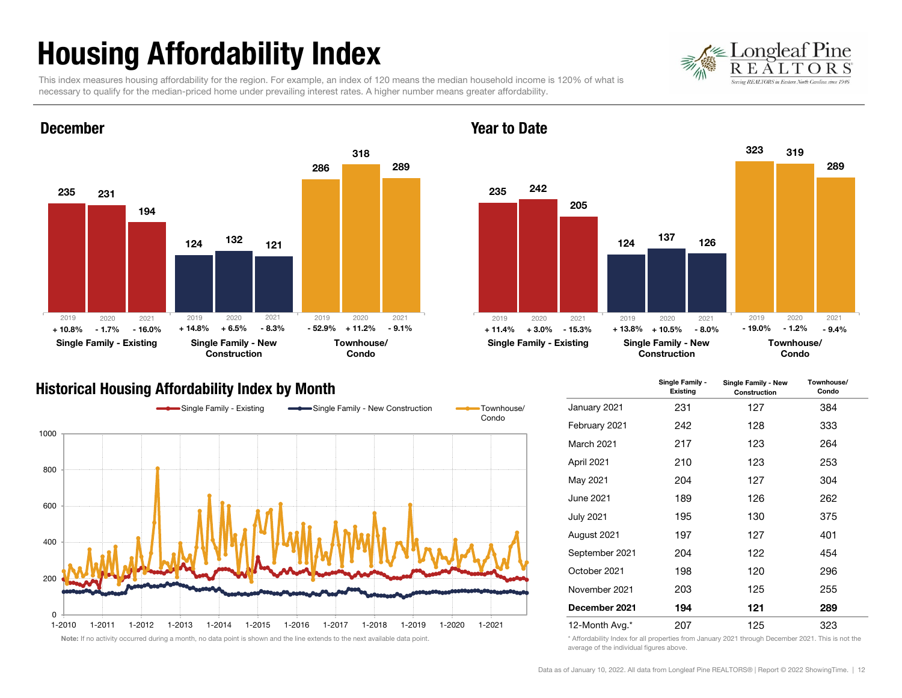## Housing Affordability Index

Pine ongleat

This index measures housing affordability for the region. For example, an index of 120 means the median household income is 120% of what is necessary to qualify for the median-priced home under prevailing interest rates. A higher number means greater affordability.



### Historical Housing Affordability Index by Month



#### 235124323242137319205126289Single Family - Existing Single Family - New ConstructionTownhouse/Condo 2020 2021 2019 2020 2021  $\%$  +11.2% -9.1%  $\qquad \qquad +$  11.4% +3.0% -15.3% + 13.8% + 10.5% -8.0% - 19.0% - 1.2% -9.4% 20192020 2021 - 19.0%

#### Year to Date

|                   | Single Family -<br>Single Family - New<br>Existing<br>Construction |     | Townhouse/<br>Condo |  |
|-------------------|--------------------------------------------------------------------|-----|---------------------|--|
| January 2021      | 231                                                                | 127 | 384                 |  |
| February 2021     | 242                                                                | 128 | 333                 |  |
| <b>March 2021</b> | 217                                                                | 123 | 264                 |  |
| April 2021        | 210                                                                | 123 | 253                 |  |
| May 2021          | 204                                                                | 127 | 304                 |  |
| June 2021.        | 189                                                                | 126 | 262                 |  |
| <b>July 2021</b>  | 195                                                                | 130 | 375                 |  |
| August 2021       | 197                                                                | 127 | 401                 |  |
| September 2021    | 204                                                                | 122 | 454                 |  |
| October 2021      | 198                                                                | 120 | 296                 |  |
| November 2021     | 203                                                                | 125 | 255                 |  |
| December 2021     | 194                                                                | 121 | 289                 |  |
| 12-Month Avg.*    | 207                                                                | 125 | 323                 |  |

\* Affordability Index for all properties from January 2021 through December 2021. This is not the average of the individual figures above.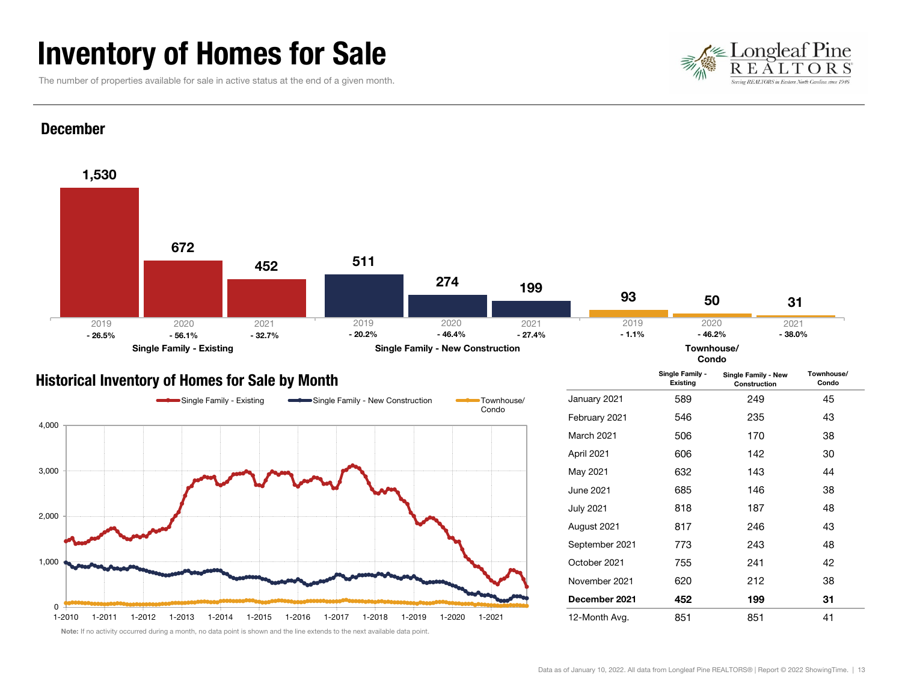### Inventory of Homes for Sale

The number of properties available for sale in active status at the end of a given month.





### Historical Inventory of Homes for Sale by Month



|                   | Single Family -<br><b>Existing</b> | Single Family - New<br>Construction | Townhouse/<br>Condo |  |
|-------------------|------------------------------------|-------------------------------------|---------------------|--|
| January 2021      | 589                                | 249                                 | 45                  |  |
| February 2021     | 546                                | 235                                 | 43                  |  |
| <b>March 2021</b> | 506                                | 170                                 | 38                  |  |
| April 2021        | 606                                | 142                                 | 30                  |  |
| May 2021          | 632                                | 143                                 | 44                  |  |
| June 2021         | 685                                | 146                                 | 38                  |  |
| <b>July 2021</b>  | 818                                | 187                                 | 48                  |  |
| August 2021       | 817                                | 246                                 | 43                  |  |
| September 2021    | 773                                | 243                                 | 48                  |  |
| October 2021      | 755                                | 241                                 | 42                  |  |
| November 2021     | 620                                | 212                                 | 38                  |  |
| December 2021     | 452                                | 199                                 | 31                  |  |
| 12-Month Avg.     | 851                                | 851                                 | 41                  |  |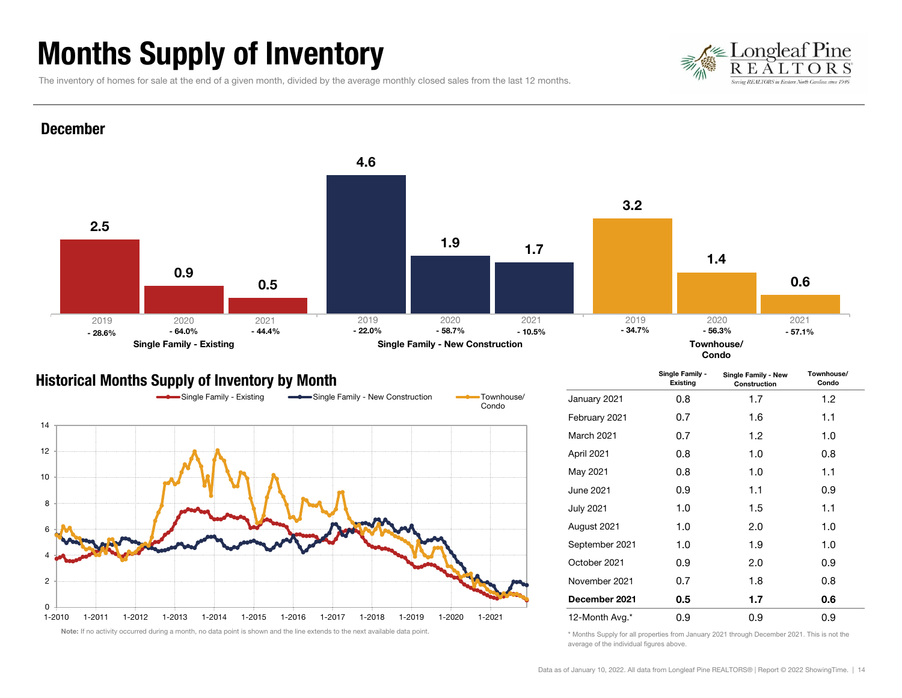## Months Supply of Inventory



The inventory of homes for sale at the end of a given month, divided by the average monthly closed sales from the last 12 months.



#### Historical Months Supply of Inventory by Month



|                  | Single Family -<br>Existing | Single Family - New<br>Construction |            |  |
|------------------|-----------------------------|-------------------------------------|------------|--|
| January 2021     | 0.8                         | 1.7                                 | 1.2        |  |
| February 2021    | 0.7                         | 1.6                                 | 1.1        |  |
| March 2021       | 0.7                         | 1.2                                 | 1.0        |  |
| April 2021       | 0.8                         | 1.0                                 | 0.8        |  |
| May 2021         | 0.8                         | 1.0                                 | 1.1        |  |
| June 2021        | 0.9                         | 1.1                                 | 0.9        |  |
| <b>July 2021</b> | 1.0                         | $1.5\,$                             | 1.1<br>1.0 |  |
| August 2021      | 1.0                         | 2.0                                 |            |  |
| September 2021   | 1.0                         | 1.9                                 | 1.0        |  |
| October 2021     | 0.9                         | 2.0                                 | 0.9        |  |
| November 2021    | 0.7                         | 1.8                                 | 0.8        |  |
| December 2021    | 0.5                         | 1.7                                 | 0.6        |  |
| 12-Month Avg.*   | 0.9                         | 0.9                                 | 0.9        |  |

\* Months Supply for all properties from January 2021 through December 2021. This is not the average of the individual figures above.